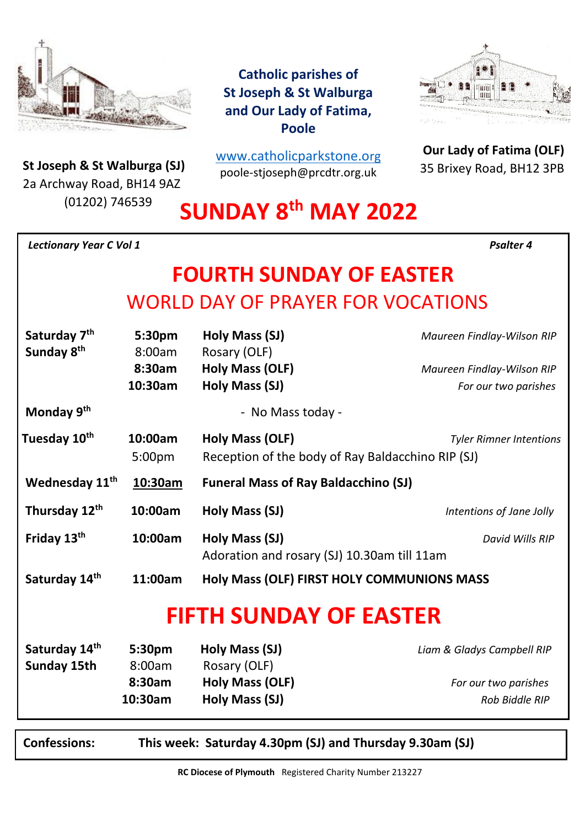

**St Joseph & St Walburga (SJ)**<br>23 Archway Road, BH14 9A7 2a Archway Road, BH14 9AZ (01202) 746539

**Catholic parishes of St Joseph & St Walburga and Our Lady of Fatima, Poole**

[www.catholicparkstone.o](http://www.catholicparkstone.org/)[rg](http://www.catholicparkstone.org/) poole-stjoseph@prcdtr.org.uk



**Our Lady of Fatima (OLF)** 35 Brixey Road, BH12 3PB

**SUNDAY 8 th MAY 2022**

*Lectionary Year C Vol 1**Psalter 4*

# **FOURTH SUNDAY OF EASTER** WORLD DAY OF PRAYER FOR VOCATIONS

| Saturday 7 <sup>th</sup>   | 5:30pm             | Holy Mass (SJ)                                                | Maureen Findlay-Wilson RIP     |
|----------------------------|--------------------|---------------------------------------------------------------|--------------------------------|
| Sunday 8 <sup>th</sup>     | 8:00am             | Rosary (OLF)                                                  |                                |
|                            | 8:30am             | Holy Mass (OLF)                                               | Maureen Findlay-Wilson RIP     |
|                            | 10:30am            | Holy Mass (SJ)                                                | For our two parishes           |
| Monday 9 <sup>th</sup>     |                    | - No Mass today -                                             |                                |
| Tuesday 10 <sup>th</sup>   | 10:00am            | Holy Mass (OLF)                                               | <b>Tyler Rimner Intentions</b> |
|                            | 5:00 <sub>pm</sub> | Reception of the body of Ray Baldacchino RIP (SJ)             |                                |
| Wednesday 11 <sup>th</sup> | 10:30am            | <b>Funeral Mass of Ray Baldacchino (SJ)</b>                   |                                |
| Thursday 12th              | 10:00am            | Holy Mass (SJ)                                                | Intentions of Jane Jolly       |
| Friday 13th                | 10:00am            | Holy Mass (SJ)<br>Adoration and rosary (SJ) 10.30am till 11am | David Wills RIP                |
| Saturday 14th              | 11:00am            | Holy Mass (OLF) FIRST HOLY COMMUNIONS MASS                    |                                |
|                            |                    | <b>FIFTH SUNDAY OF EASTER</b>                                 |                                |
| Saturday 14th              | 5:30pm             | Holy Mass (SJ)                                                | Liam & Gladys Campbell RIP     |
| Sunday 15th                | 8:00am             | Rosary (OLF)                                                  |                                |
|                            | 8:30am             | <b>Holy Mass (OLF)</b>                                        | For our two parishes           |

 **10:30am Holy Mass (SJ)** *Rob Biddle RIP Rob Biddle RIP* 

**Confessions: This week: Saturday 4.30pm (SJ) and Thursday 9.30am (SJ)**